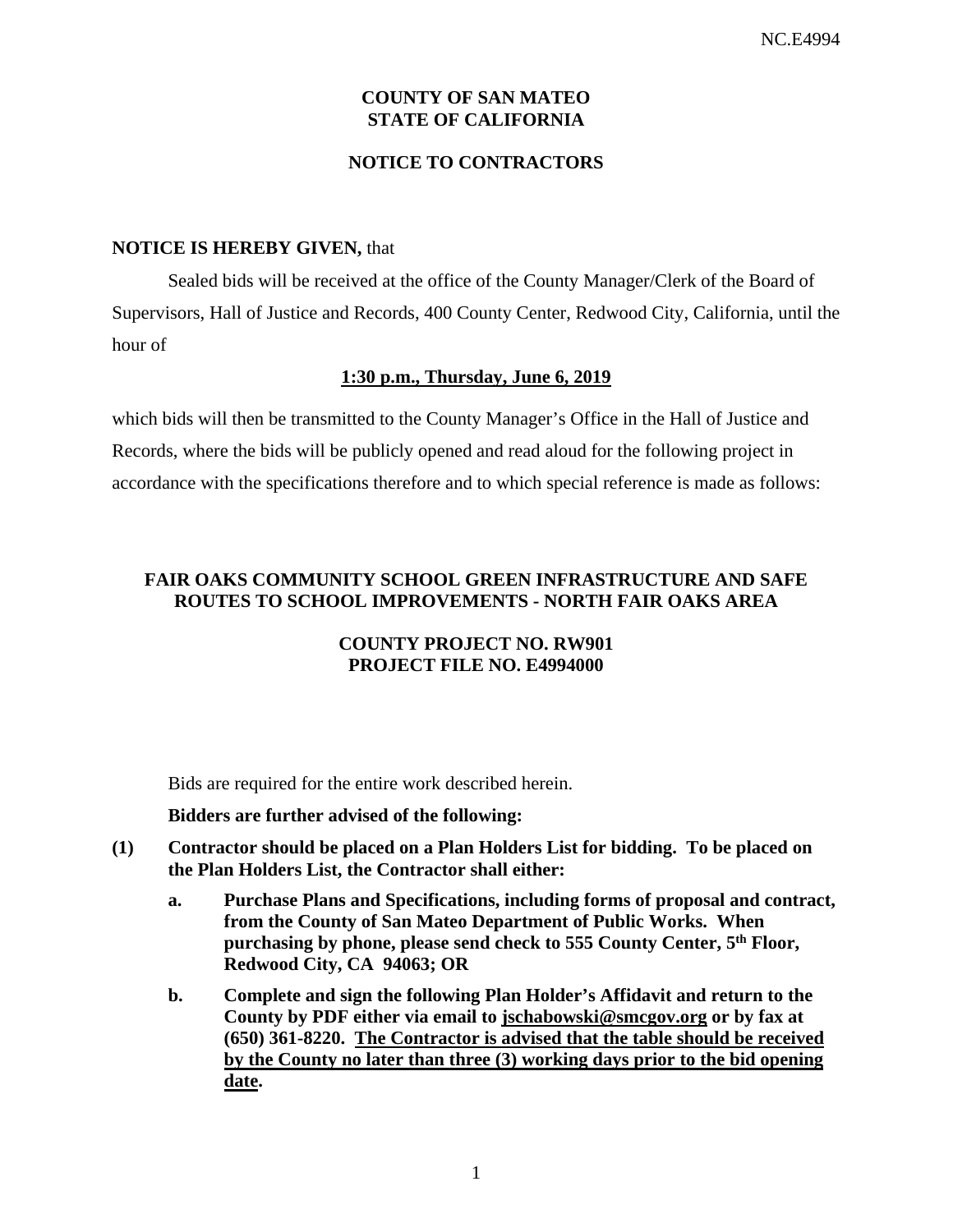# **COUNTY OF SAN MATEO STATE OF CALIFORNIA**

### **NOTICE TO CONTRACTORS**

#### **NOTICE IS HEREBY GIVEN,** that

Sealed bids will be received at the office of the County Manager/Clerk of the Board of Supervisors, Hall of Justice and Records, 400 County Center, Redwood City, California, until the hour of

#### **1:30 p.m., Thursday, June 6, 2019**

which bids will then be transmitted to the County Manager's Office in the Hall of Justice and Records, where the bids will be publicly opened and read aloud for the following project in accordance with the specifications therefore and to which special reference is made as follows:

# **FAIR OAKS COMMUNITY SCHOOL GREEN INFRASTRUCTURE AND SAFE ROUTES TO SCHOOL IMPROVEMENTS - NORTH FAIR OAKS AREA**

#### **COUNTY PROJECT NO. RW901 PROJECT FILE NO. E4994000**

Bids are required for the entire work described herein.

#### **Bidders are further advised of the following:**

- **(1) Contractor should be placed on a Plan Holders List for bidding. To be placed on the Plan Holders List, the Contractor shall either:** 
	- **a. Purchase Plans and Specifications, including forms of proposal and contract, from the County of San Mateo Department of Public Works. When purchasing by phone, please send check to 555 County Center, 5th Floor, Redwood City, CA 94063; OR**
	- **b. Complete and sign the following Plan Holder's Affidavit and return to the County by PDF either via email to jschabowski@smcgov.org or by fax at (650) 361-8220. The Contractor is advised that the table should be received by the County no later than three (3) working days prior to the bid opening date.**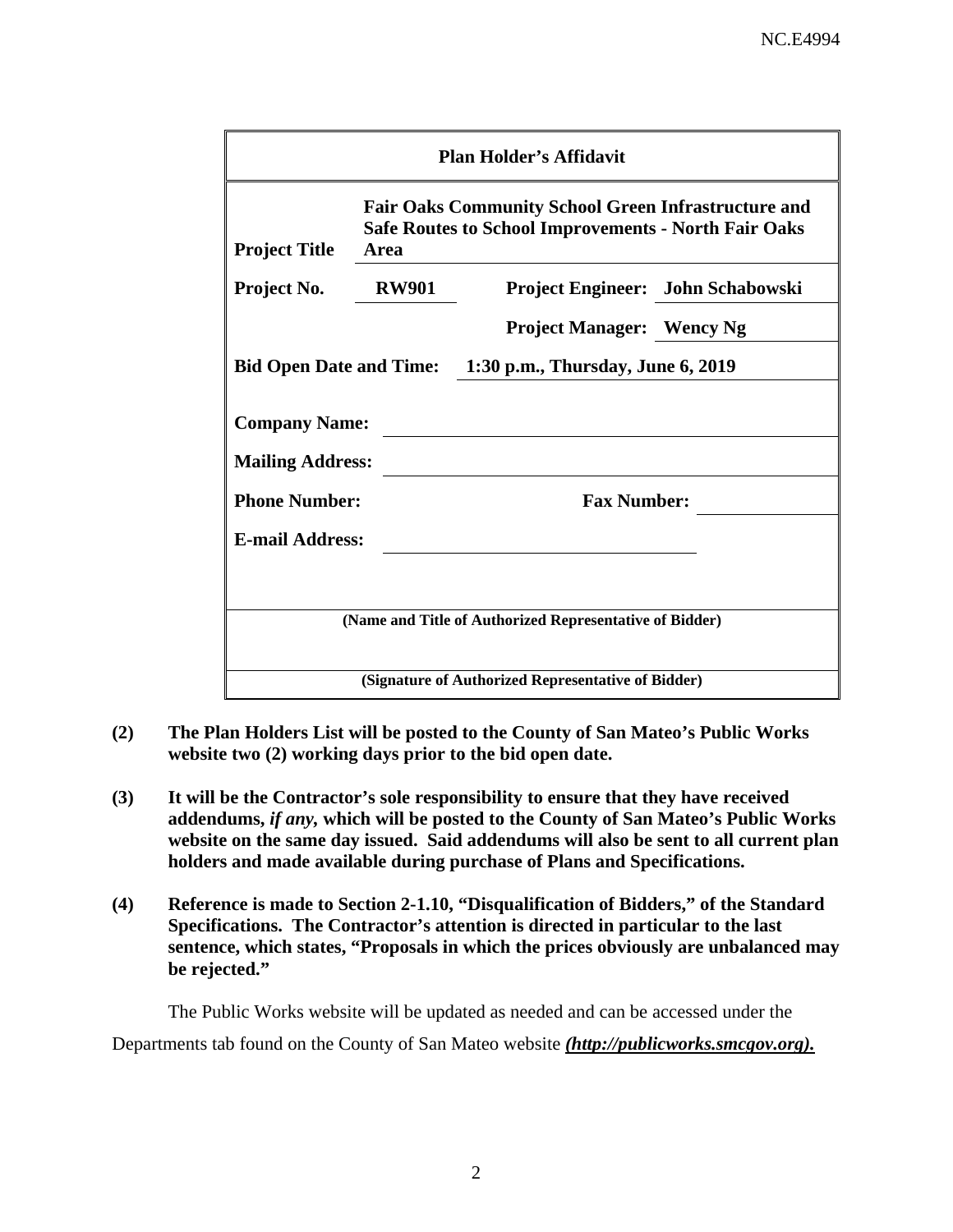| <b>Plan Holder's Affidavit</b>                            |                                                                                                                                   |                                                         |                                   |  |  |  |  |
|-----------------------------------------------------------|-----------------------------------------------------------------------------------------------------------------------------------|---------------------------------------------------------|-----------------------------------|--|--|--|--|
| <b>Project Title</b>                                      | <b>Fair Oaks Community School Green Infrastructure and</b><br><b>Safe Routes to School Improvements - North Fair Oaks</b><br>Area |                                                         |                                   |  |  |  |  |
| Project No.                                               | <b>RW901</b>                                                                                                                      |                                                         | Project Engineer: John Schabowski |  |  |  |  |
|                                                           |                                                                                                                                   | <b>Project Manager: Wency Ng</b>                        |                                   |  |  |  |  |
| Bid Open Date and Time: 1:30 p.m., Thursday, June 6, 2019 |                                                                                                                                   |                                                         |                                   |  |  |  |  |
| <b>Company Name:</b><br><b>Mailing Address:</b>           |                                                                                                                                   |                                                         |                                   |  |  |  |  |
| <b>Phone Number:</b>                                      |                                                                                                                                   | <b>Fax Number:</b>                                      |                                   |  |  |  |  |
| <b>E-mail Address:</b>                                    |                                                                                                                                   |                                                         |                                   |  |  |  |  |
|                                                           |                                                                                                                                   |                                                         |                                   |  |  |  |  |
|                                                           |                                                                                                                                   | (Name and Title of Authorized Representative of Bidder) |                                   |  |  |  |  |
| (Signature of Authorized Representative of Bidder)        |                                                                                                                                   |                                                         |                                   |  |  |  |  |

- **(2) The Plan Holders List will be posted to the County of San Mateo's Public Works website two (2) working days prior to the bid open date.**
- **(3) It will be the Contractor's sole responsibility to ensure that they have received addendums,** *if any,* **which will be posted to the County of San Mateo's Public Works website on the same day issued. Said addendums will also be sent to all current plan holders and made available during purchase of Plans and Specifications.**
- **(4) Reference is made to Section 2-1.10, "Disqualification of Bidders," of the Standard Specifications. The Contractor's attention is directed in particular to the last sentence, which states, "Proposals in which the prices obviously are unbalanced may be rejected."**

The Public Works website will be updated as needed and can be accessed under the

Departments tab found on the County of San Mateo website *(http://publicworks.smcgov.org).*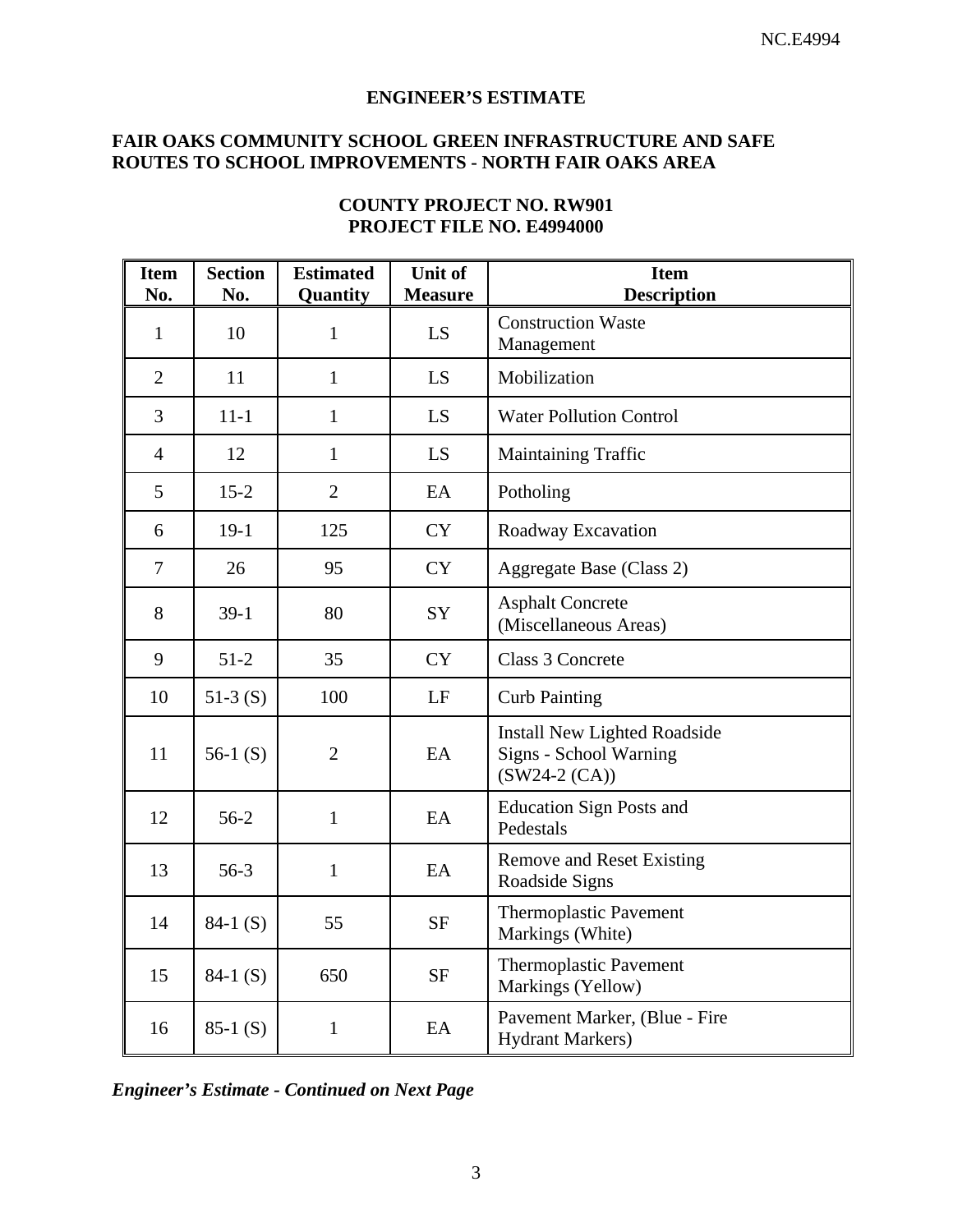## **ENGINEER'S ESTIMATE**

# **FAIR OAKS COMMUNITY SCHOOL GREEN INFRASTRUCTURE AND SAFE ROUTES TO SCHOOL IMPROVEMENTS - NORTH FAIR OAKS AREA**

| <b>Item</b><br>No. | <b>Section</b><br>No. | <b>Estimated</b><br>Quantity | Unit of<br><b>Measure</b> | <b>Item</b><br><b>Description</b>                                                |
|--------------------|-----------------------|------------------------------|---------------------------|----------------------------------------------------------------------------------|
| $\mathbf{1}$       | 10                    | $\mathbf{1}$                 | LS                        | <b>Construction Waste</b><br>Management                                          |
| $\overline{2}$     | 11                    | $\mathbf{1}$                 | LS                        | Mobilization                                                                     |
| $\overline{3}$     | $11 - 1$              | $\mathbf{1}$                 | LS                        | <b>Water Pollution Control</b>                                                   |
| $\overline{4}$     | 12                    | $\mathbf{1}$                 | LS                        | <b>Maintaining Traffic</b>                                                       |
| 5                  | $15 - 2$              | $\overline{2}$               | EA                        | Potholing                                                                        |
| 6                  | $19-1$                | 125                          | <b>CY</b>                 | Roadway Excavation                                                               |
| $\tau$             | 26                    | 95                           | <b>CY</b>                 | Aggregate Base (Class 2)                                                         |
| 8                  | $39-1$                | 80                           | SY                        | <b>Asphalt Concrete</b><br>(Miscellaneous Areas)                                 |
| 9                  | $51-2$                | 35                           | <b>CY</b>                 | Class 3 Concrete                                                                 |
| 10                 | $51-3(S)$             | 100                          | LF                        | <b>Curb Painting</b>                                                             |
| 11                 | 56-1 $(S)$            | $\overline{2}$               | EA                        | <b>Install New Lighted Roadside</b><br>Signs - School Warning<br>$(SW24-2 (CA))$ |
| 12                 | $56-2$                | $\mathbf{1}$                 | EA                        | <b>Education Sign Posts and</b><br>Pedestals                                     |
| 13                 | $56-3$                | $\mathbf{1}$                 | EA                        | <b>Remove and Reset Existing</b><br>Roadside Signs                               |
| 14                 | $84-1(S)$             | 55                           | <b>SF</b>                 | <b>Thermoplastic Pavement</b><br>Markings (White)                                |
| 15                 | $84-1(S)$             | 650                          | $\rm{SF}$                 | <b>Thermoplastic Pavement</b><br>Markings (Yellow)                               |
| 16                 | $85-1(S)$             | $\mathbf{1}$                 | EA                        | Pavement Marker, (Blue - Fire<br><b>Hydrant Markers</b> )                        |

# **COUNTY PROJECT NO. RW901 PROJECT FILE NO. E4994000**

*Engineer's Estimate - Continued on Next Page*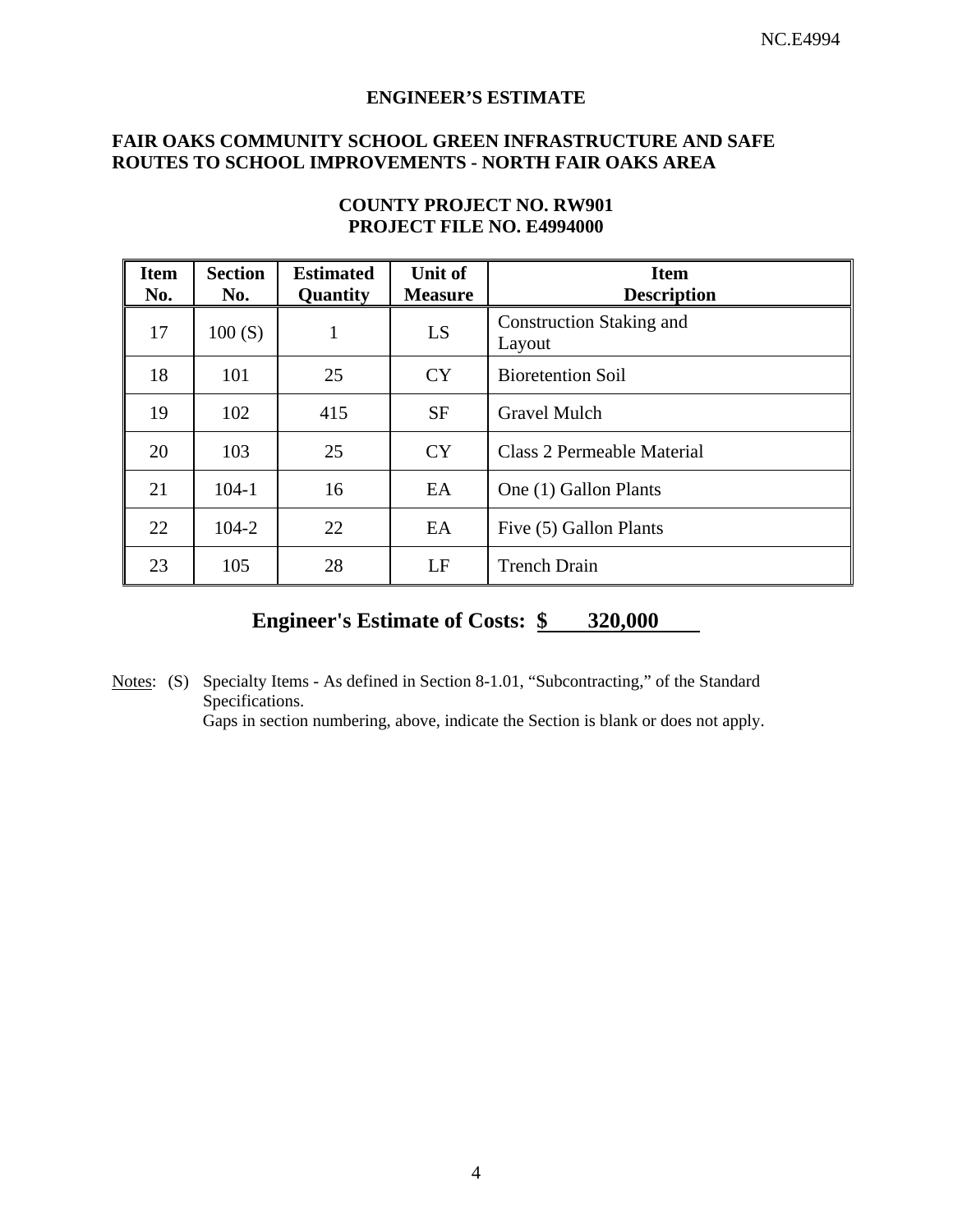#### **ENGINEER'S ESTIMATE**

### **FAIR OAKS COMMUNITY SCHOOL GREEN INFRASTRUCTURE AND SAFE ROUTES TO SCHOOL IMPROVEMENTS - NORTH FAIR OAKS AREA**

| <b>Item</b><br>No. | <b>Section</b><br>No. | <b>Estimated</b><br>Quantity | Unit of<br><b>Measure</b> | <b>Item</b><br><b>Description</b>         |
|--------------------|-----------------------|------------------------------|---------------------------|-------------------------------------------|
| 17                 | 100(S)                | 1                            | LS                        | <b>Construction Staking and</b><br>Layout |
| 18                 | 101                   | 25                           | <b>CY</b>                 | <b>Bioretention Soil</b>                  |
| 19                 | 102                   | 415                          | <b>SF</b>                 | <b>Gravel Mulch</b>                       |
| 20                 | 103                   | 25                           | <b>CY</b>                 | Class 2 Permeable Material                |
| 21                 | $104-1$               | 16                           | EA                        | One (1) Gallon Plants                     |
| 22                 | $104 - 2$             | 22                           | EA                        | Five (5) Gallon Plants                    |
| 23                 | 105                   | 28                           | LF                        | <b>Trench Drain</b>                       |

# **COUNTY PROJECT NO. RW901 PROJECT FILE NO. E4994000**

# **Engineer's Estimate of Costs: \$ 320,000**

Notes: (S) Specialty Items - As defined in Section 8-1.01, "Subcontracting," of the Standard Specifications.

Gaps in section numbering, above, indicate the Section is blank or does not apply.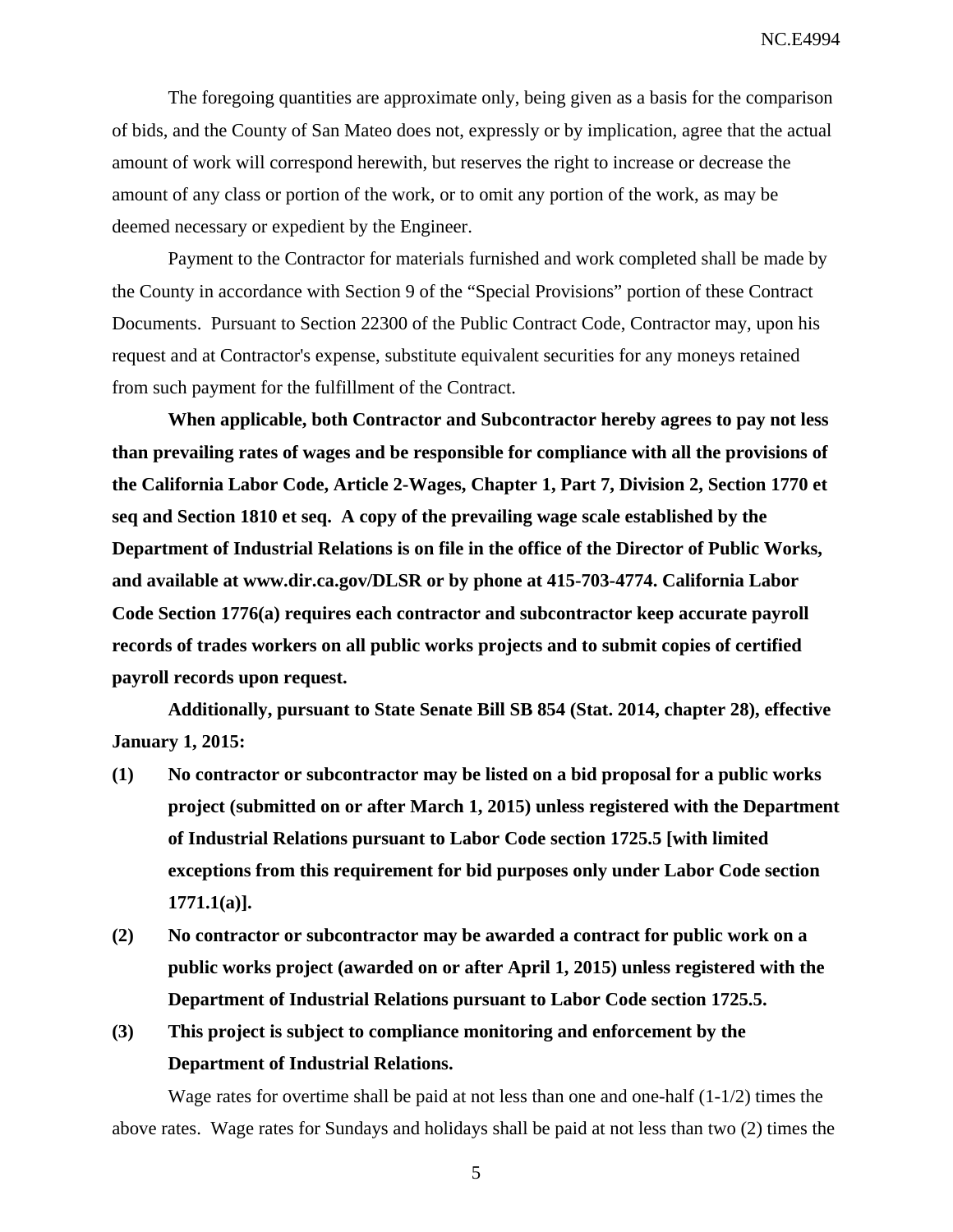NC.E4994

The foregoing quantities are approximate only, being given as a basis for the comparison of bids, and the County of San Mateo does not, expressly or by implication, agree that the actual amount of work will correspond herewith, but reserves the right to increase or decrease the amount of any class or portion of the work, or to omit any portion of the work, as may be deemed necessary or expedient by the Engineer.

Payment to the Contractor for materials furnished and work completed shall be made by the County in accordance with Section 9 of the "Special Provisions" portion of these Contract Documents. Pursuant to Section 22300 of the Public Contract Code, Contractor may, upon his request and at Contractor's expense, substitute equivalent securities for any moneys retained from such payment for the fulfillment of the Contract.

**When applicable, both Contractor and Subcontractor hereby agrees to pay not less than prevailing rates of wages and be responsible for compliance with all the provisions of the California Labor Code, Article 2-Wages, Chapter 1, Part 7, Division 2, Section 1770 et seq and Section 1810 et seq. A copy of the prevailing wage scale established by the Department of Industrial Relations is on file in the office of the Director of Public Works, and available at www.dir.ca.gov/DLSR or by phone at 415-703-4774. California Labor Code Section 1776(a) requires each contractor and subcontractor keep accurate payroll records of trades workers on all public works projects and to submit copies of certified payroll records upon request.** 

**Additionally, pursuant to State Senate Bill SB 854 (Stat. 2014, chapter 28), effective January 1, 2015:** 

- **(1) No contractor or subcontractor may be listed on a bid proposal for a public works project (submitted on or after March 1, 2015) unless registered with the Department of Industrial Relations pursuant to Labor Code section 1725.5 [with limited exceptions from this requirement for bid purposes only under Labor Code section 1771.1(a)].**
- **(2) No contractor or subcontractor may be awarded a contract for public work on a public works project (awarded on or after April 1, 2015) unless registered with the Department of Industrial Relations pursuant to Labor Code section 1725.5.**
- **(3) This project is subject to compliance monitoring and enforcement by the Department of Industrial Relations.**

Wage rates for overtime shall be paid at not less than one and one-half  $(1-1/2)$  times the above rates. Wage rates for Sundays and holidays shall be paid at not less than two (2) times the

5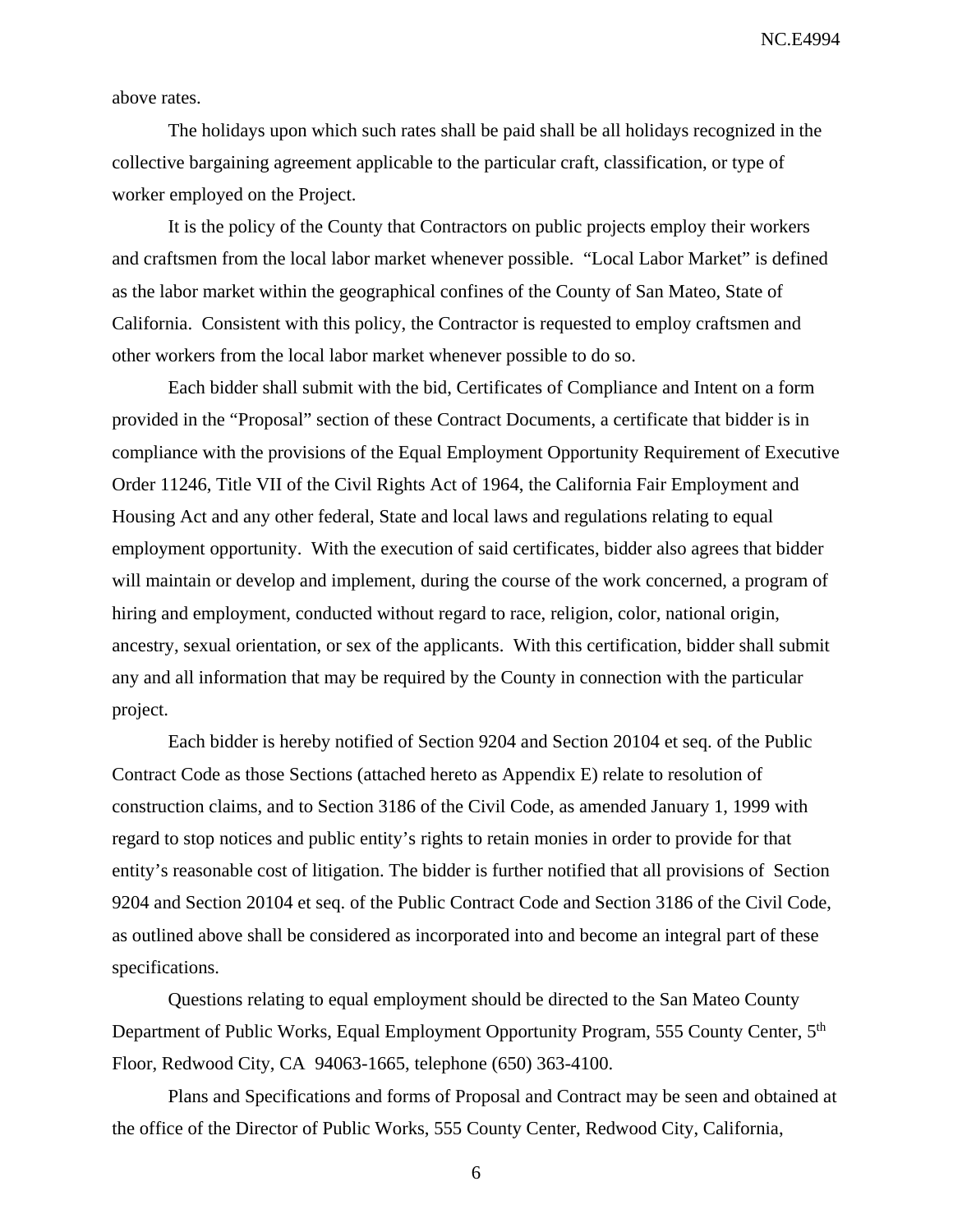NC.E4994

above rates.

The holidays upon which such rates shall be paid shall be all holidays recognized in the collective bargaining agreement applicable to the particular craft, classification, or type of worker employed on the Project.

It is the policy of the County that Contractors on public projects employ their workers and craftsmen from the local labor market whenever possible. "Local Labor Market" is defined as the labor market within the geographical confines of the County of San Mateo, State of California. Consistent with this policy, the Contractor is requested to employ craftsmen and other workers from the local labor market whenever possible to do so.

Each bidder shall submit with the bid, Certificates of Compliance and Intent on a form provided in the "Proposal" section of these Contract Documents, a certificate that bidder is in compliance with the provisions of the Equal Employment Opportunity Requirement of Executive Order 11246, Title VII of the Civil Rights Act of 1964, the California Fair Employment and Housing Act and any other federal, State and local laws and regulations relating to equal employment opportunity. With the execution of said certificates, bidder also agrees that bidder will maintain or develop and implement, during the course of the work concerned, a program of hiring and employment, conducted without regard to race, religion, color, national origin, ancestry, sexual orientation, or sex of the applicants. With this certification, bidder shall submit any and all information that may be required by the County in connection with the particular project.

Each bidder is hereby notified of Section 9204 and Section 20104 et seq. of the Public Contract Code as those Sections (attached hereto as Appendix E) relate to resolution of construction claims, and to Section 3186 of the Civil Code, as amended January 1, 1999 with regard to stop notices and public entity's rights to retain monies in order to provide for that entity's reasonable cost of litigation. The bidder is further notified that all provisions of Section 9204 and Section 20104 et seq. of the Public Contract Code and Section 3186 of the Civil Code, as outlined above shall be considered as incorporated into and become an integral part of these specifications.

Questions relating to equal employment should be directed to the San Mateo County Department of Public Works, Equal Employment Opportunity Program, 555 County Center, 5<sup>th</sup> Floor, Redwood City, CA 94063-1665, telephone (650) 363-4100.

Plans and Specifications and forms of Proposal and Contract may be seen and obtained at the office of the Director of Public Works, 555 County Center, Redwood City, California,

6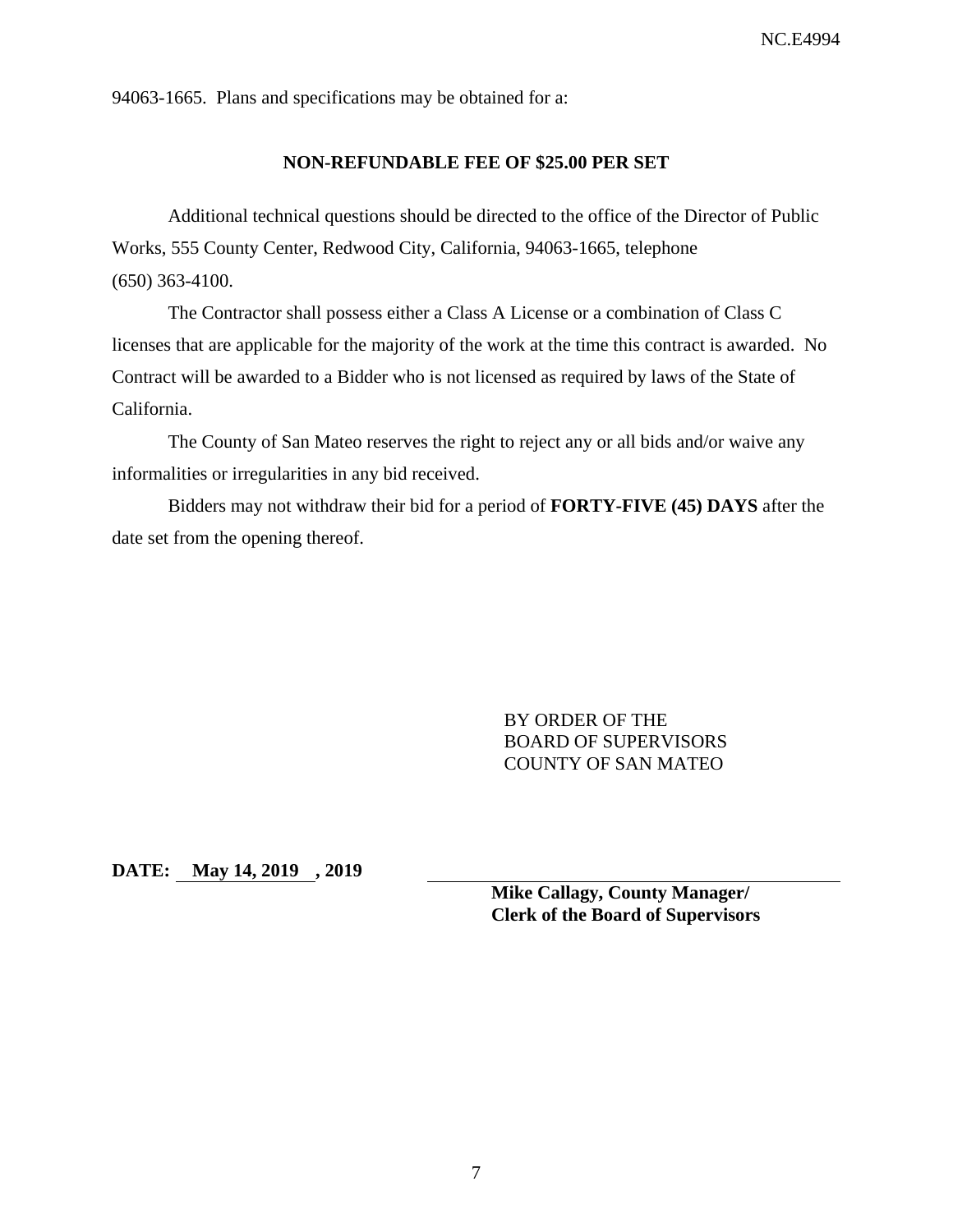94063-1665. Plans and specifications may be obtained for a:

#### **NON-REFUNDABLE FEE OF \$25.00 PER SET**

Additional technical questions should be directed to the office of the Director of Public Works, 555 County Center, Redwood City, California, 94063-1665, telephone (650) 363-4100.

The Contractor shall possess either a Class A License or a combination of Class C licenses that are applicable for the majority of the work at the time this contract is awarded. No Contract will be awarded to a Bidder who is not licensed as required by laws of the State of California.

The County of San Mateo reserves the right to reject any or all bids and/or waive any informalities or irregularities in any bid received.

Bidders may not withdraw their bid for a period of **FORTY-FIVE (45) DAYS** after the date set from the opening thereof.

> BY ORDER OF THE BOARD OF SUPERVISORS COUNTY OF SAN MATEO

**DATE: May 14, 2019 , 2019** 

**Mike Callagy, County Manager/ Clerk of the Board of Supervisors**